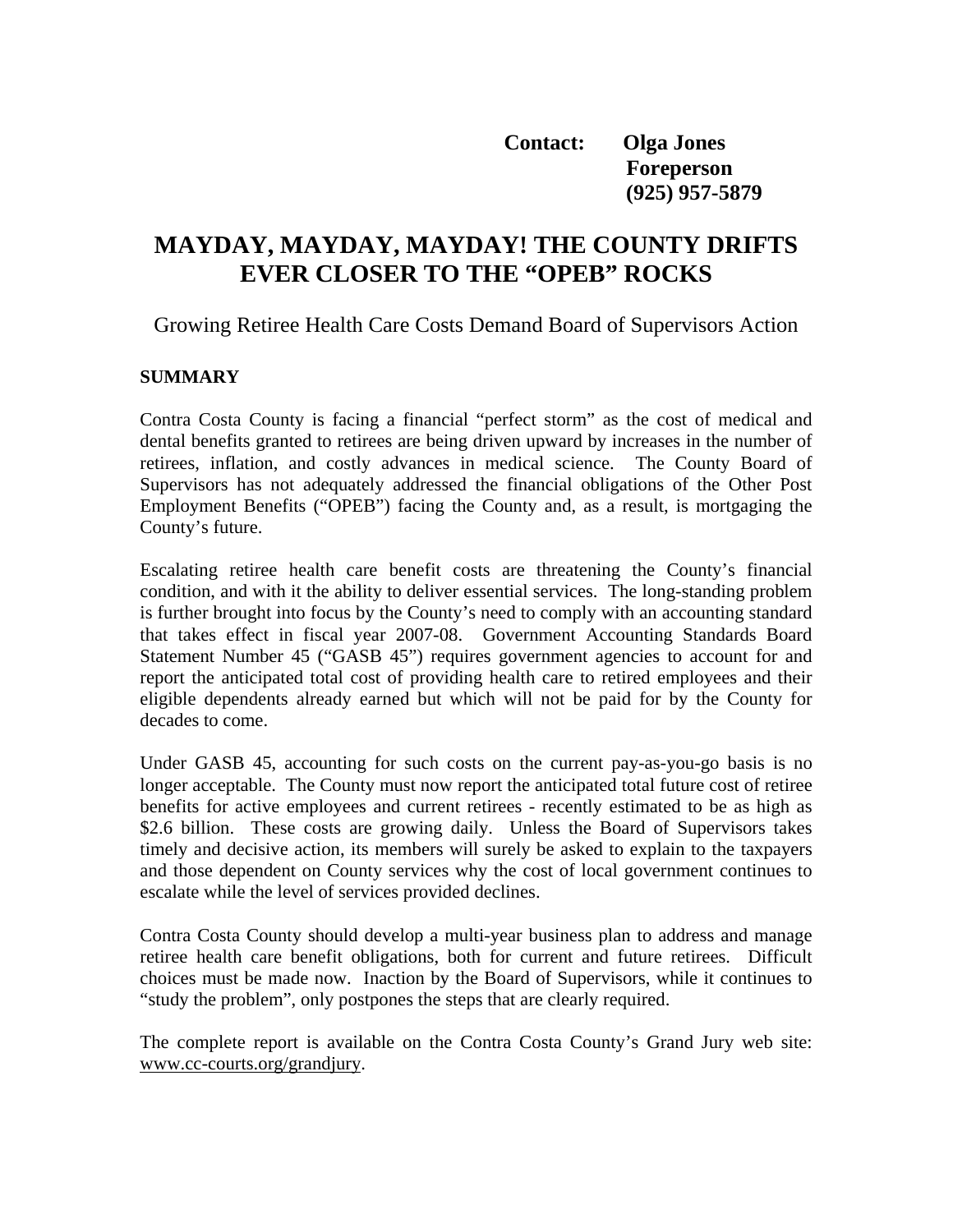**Contact: Olga Jones Foreperson (925) 957-5879** 

# **MAYDAY, MAYDAY, MAYDAY! THE COUNTY DRIFTS EVER CLOSER TO THE "OPEB" ROCKS**

Growing Retiree Health Care Costs Demand Board of Supervisors Action

#### **SUMMARY**

Contra Costa County is facing a financial "perfect storm" as the cost of medical and dental benefits granted to retirees are being driven upward by increases in the number of retirees, inflation, and costly advances in medical science. The County Board of Supervisors has not adequately addressed the financial obligations of the Other Post Employment Benefits ("OPEB") facing the County and, as a result, is mortgaging the County's future.

Escalating retiree health care benefit costs are threatening the County's financial condition, and with it the ability to deliver essential services. The long-standing problem is further brought into focus by the County's need to comply with an accounting standard that takes effect in fiscal year 2007-08. Government Accounting Standards Board Statement Number 45 ("GASB 45") requires government agencies to account for and report the anticipated total cost of providing health care to retired employees and their eligible dependents already earned but which will not be paid for by the County for decades to come.

Under GASB 45, accounting for such costs on the current pay-as-you-go basis is no longer acceptable. The County must now report the anticipated total future cost of retiree benefits for active employees and current retirees - recently estimated to be as high as \$2.6 billion. These costs are growing daily. Unless the Board of Supervisors takes timely and decisive action, its members will surely be asked to explain to the taxpayers and those dependent on County services why the cost of local government continues to escalate while the level of services provided declines.

Contra Costa County should develop a multi-year business plan to address and manage retiree health care benefit obligations, both for current and future retirees. Difficult choices must be made now. Inaction by the Board of Supervisors, while it continues to "study the problem", only postpones the steps that are clearly required.

The complete report is available on the Contra Costa County's Grand Jury web site: www.cc-courts.org/grandjury.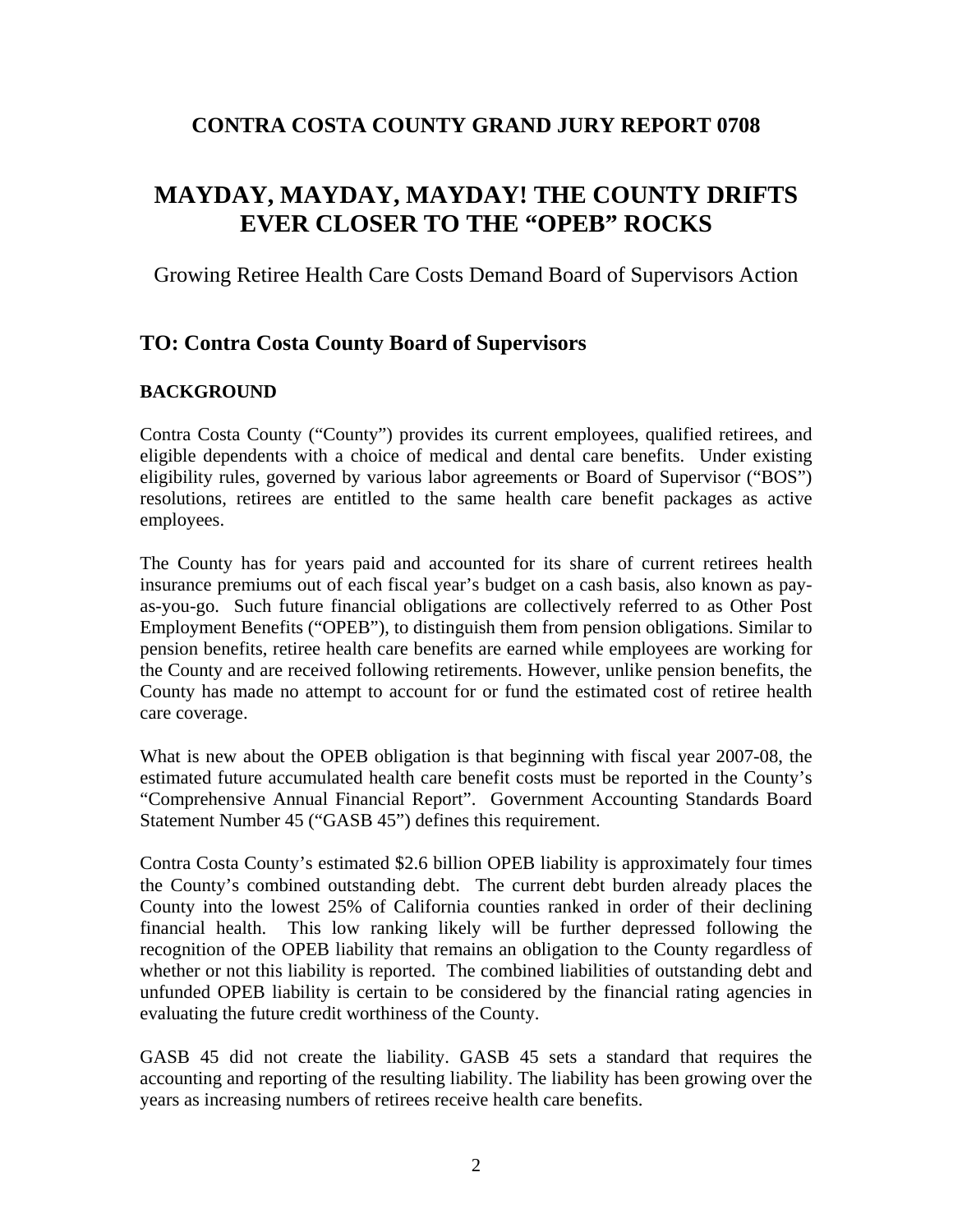## **CONTRA COSTA COUNTY GRAND JURY REPORT 0708**

# **MAYDAY, MAYDAY, MAYDAY! THE COUNTY DRIFTS EVER CLOSER TO THE "OPEB" ROCKS**

## Growing Retiree Health Care Costs Demand Board of Supervisors Action

## **TO: Contra Costa County Board of Supervisors**

### **BACKGROUND**

Contra Costa County ("County") provides its current employees, qualified retirees, and eligible dependents with a choice of medical and dental care benefits. Under existing eligibility rules, governed by various labor agreements or Board of Supervisor ("BOS") resolutions, retirees are entitled to the same health care benefit packages as active employees.

The County has for years paid and accounted for its share of current retirees health insurance premiums out of each fiscal year's budget on a cash basis, also known as payas-you-go. Such future financial obligations are collectively referred to as Other Post Employment Benefits ("OPEB"), to distinguish them from pension obligations. Similar to pension benefits, retiree health care benefits are earned while employees are working for the County and are received following retirements. However, unlike pension benefits, the County has made no attempt to account for or fund the estimated cost of retiree health care coverage.

What is new about the OPEB obligation is that beginning with fiscal year 2007-08, the estimated future accumulated health care benefit costs must be reported in the County's "Comprehensive Annual Financial Report". Government Accounting Standards Board Statement Number 45 ("GASB 45") defines this requirement.

Contra Costa County's estimated \$2.6 billion OPEB liability is approximately four times the County's combined outstanding debt. The current debt burden already places the County into the lowest 25% of California counties ranked in order of their declining financial health. This low ranking likely will be further depressed following the recognition of the OPEB liability that remains an obligation to the County regardless of whether or not this liability is reported. The combined liabilities of outstanding debt and unfunded OPEB liability is certain to be considered by the financial rating agencies in evaluating the future credit worthiness of the County.

GASB 45 did not create the liability. GASB 45 sets a standard that requires the accounting and reporting of the resulting liability. The liability has been growing over the years as increasing numbers of retirees receive health care benefits.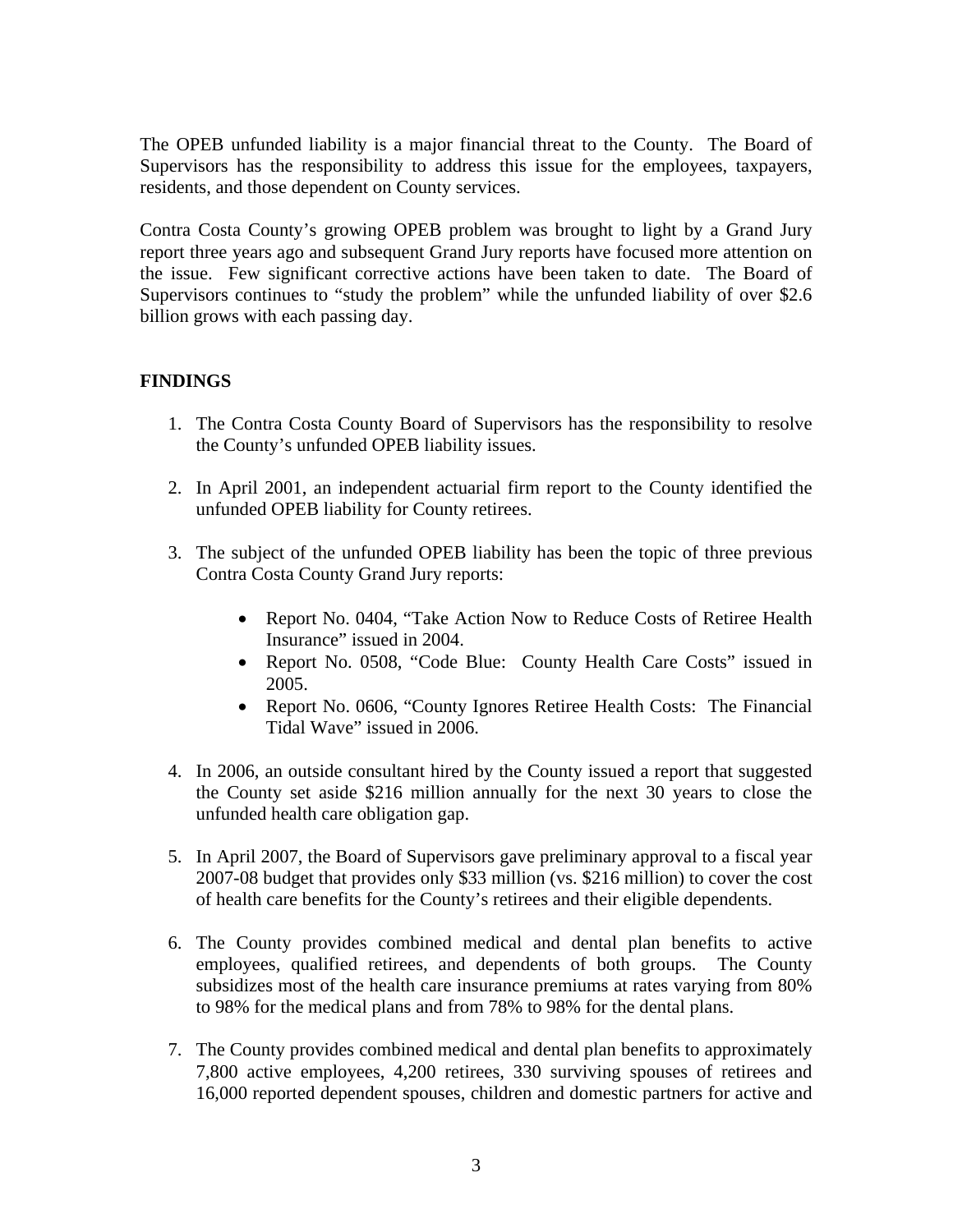The OPEB unfunded liability is a major financial threat to the County. The Board of Supervisors has the responsibility to address this issue for the employees, taxpayers, residents, and those dependent on County services.

Contra Costa County's growing OPEB problem was brought to light by a Grand Jury report three years ago and subsequent Grand Jury reports have focused more attention on the issue. Few significant corrective actions have been taken to date. The Board of Supervisors continues to "study the problem" while the unfunded liability of over \$2.6 billion grows with each passing day.

## **FINDINGS**

- 1. The Contra Costa County Board of Supervisors has the responsibility to resolve the County's unfunded OPEB liability issues.
- 2. In April 2001, an independent actuarial firm report to the County identified the unfunded OPEB liability for County retirees.
- 3. The subject of the unfunded OPEB liability has been the topic of three previous Contra Costa County Grand Jury reports:
	- Report No. 0404, "Take Action Now to Reduce Costs of Retiree Health Insurance" issued in 2004.
	- Report No. 0508, "Code Blue: County Health Care Costs" issued in 2005.
	- Report No. 0606, "County Ignores Retiree Health Costs: The Financial Tidal Wave" issued in 2006.
- 4. In 2006, an outside consultant hired by the County issued a report that suggested the County set aside \$216 million annually for the next 30 years to close the unfunded health care obligation gap.
- 5. In April 2007, the Board of Supervisors gave preliminary approval to a fiscal year 2007-08 budget that provides only \$33 million (vs. \$216 million) to cover the cost of health care benefits for the County's retirees and their eligible dependents.
- 6. The County provides combined medical and dental plan benefits to active employees, qualified retirees, and dependents of both groups. The County subsidizes most of the health care insurance premiums at rates varying from 80% to 98% for the medical plans and from 78% to 98% for the dental plans.
- 7. The County provides combined medical and dental plan benefits to approximately 7,800 active employees, 4,200 retirees, 330 surviving spouses of retirees and 16,000 reported dependent spouses, children and domestic partners for active and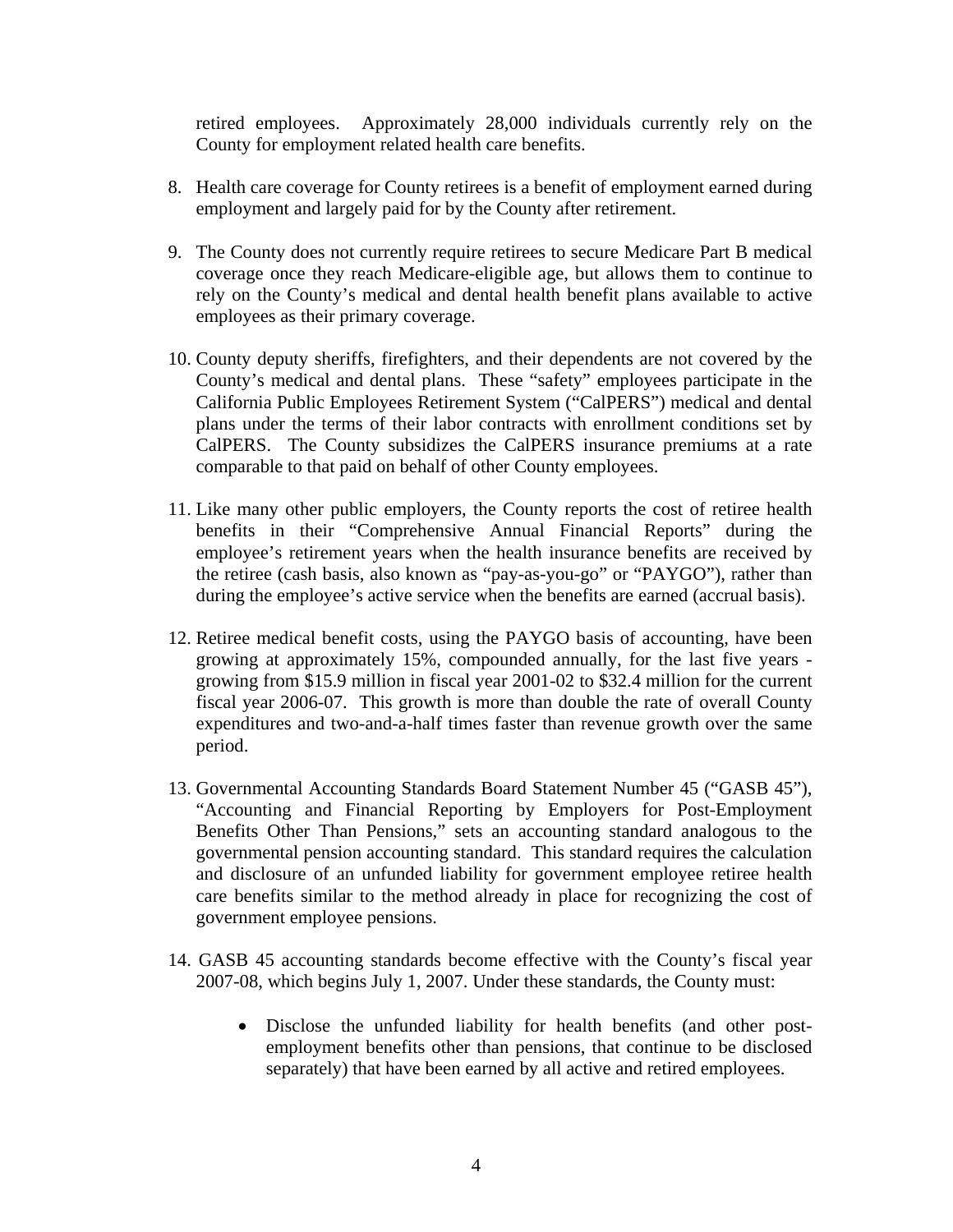retired employees. Approximately 28,000 individuals currently rely on the County for employment related health care benefits.

- 8. Health care coverage for County retirees is a benefit of employment earned during employment and largely paid for by the County after retirement.
- 9. The County does not currently require retirees to secure Medicare Part B medical coverage once they reach Medicare-eligible age, but allows them to continue to rely on the County's medical and dental health benefit plans available to active employees as their primary coverage.
- 10. County deputy sheriffs, firefighters, and their dependents are not covered by the County's medical and dental plans. These "safety" employees participate in the California Public Employees Retirement System ("CalPERS") medical and dental plans under the terms of their labor contracts with enrollment conditions set by CalPERS. The County subsidizes the CalPERS insurance premiums at a rate comparable to that paid on behalf of other County employees.
- 11. Like many other public employers, the County reports the cost of retiree health benefits in their "Comprehensive Annual Financial Reports" during the employee's retirement years when the health insurance benefits are received by the retiree (cash basis, also known as "pay-as-you-go" or "PAYGO"), rather than during the employee's active service when the benefits are earned (accrual basis).
- 12. Retiree medical benefit costs, using the PAYGO basis of accounting, have been growing at approximately 15%, compounded annually, for the last five years growing from \$15.9 million in fiscal year 2001-02 to \$32.4 million for the current fiscal year 2006-07. This growth is more than double the rate of overall County expenditures and two-and-a-half times faster than revenue growth over the same period.
- 13. Governmental Accounting Standards Board Statement Number 45 ("GASB 45"), "Accounting and Financial Reporting by Employers for Post-Employment Benefits Other Than Pensions," sets an accounting standard analogous to the governmental pension accounting standard. This standard requires the calculation and disclosure of an unfunded liability for government employee retiree health care benefits similar to the method already in place for recognizing the cost of government employee pensions.
- 14. GASB 45 accounting standards become effective with the County's fiscal year 2007-08, which begins July 1, 2007. Under these standards, the County must:
	- Disclose the unfunded liability for health benefits (and other postemployment benefits other than pensions, that continue to be disclosed separately) that have been earned by all active and retired employees.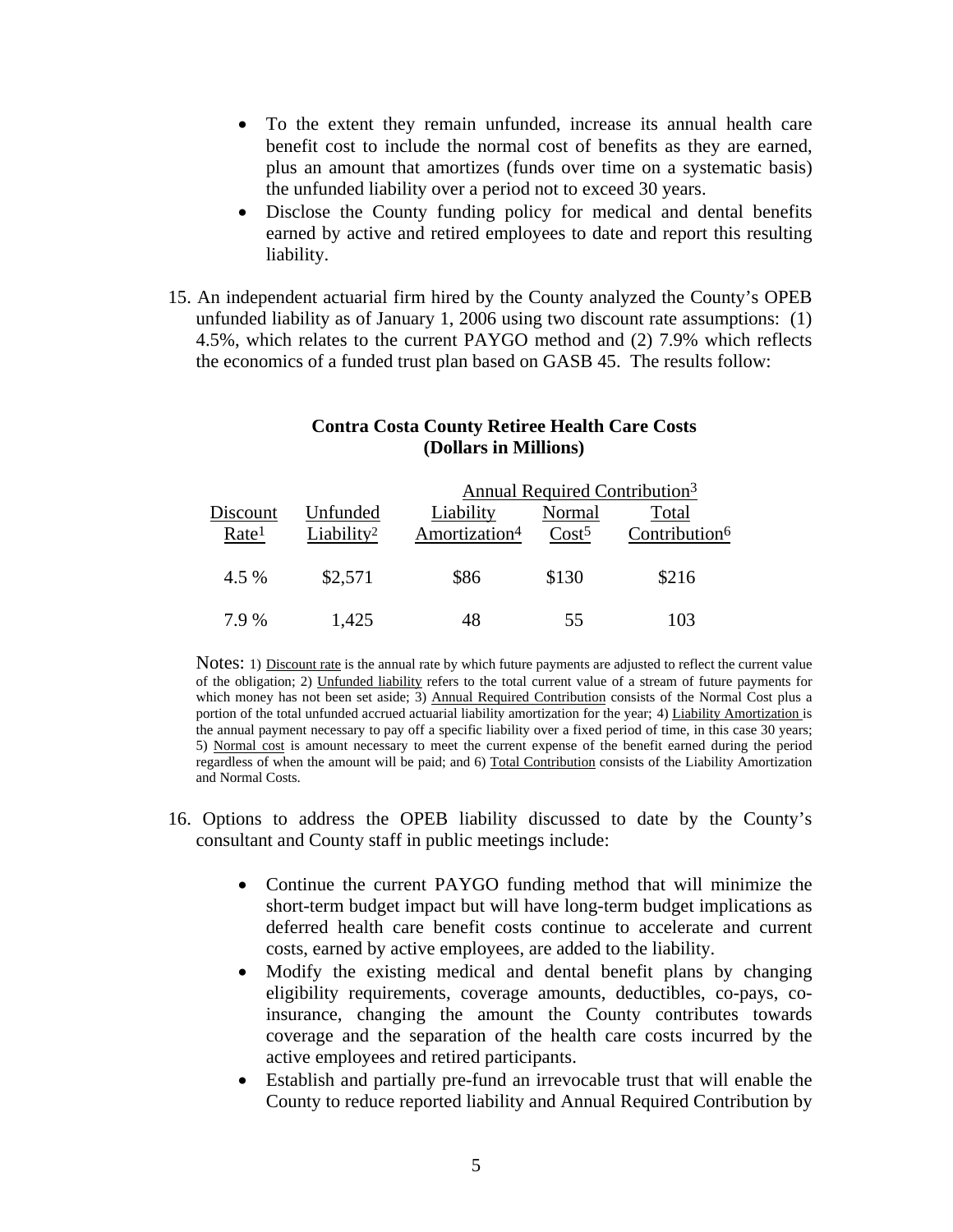- To the extent they remain unfunded, increase its annual health care benefit cost to include the normal cost of benefits as they are earned, plus an amount that amortizes (funds over time on a systematic basis) the unfunded liability over a period not to exceed 30 years.
- Disclose the County funding policy for medical and dental benefits earned by active and retired employees to date and report this resulting liability.
- 15. An independent actuarial firm hired by the County analyzed the County's OPEB unfunded liability as of January 1, 2006 using two discount rate assumptions: (1) 4.5%, which relates to the current PAYGO method and (2) 7.9% which reflects the economics of a funded trust plan based on GASB 45. The results follow:

#### **Contra Costa County Retiree Health Care Costs (Dollars in Millions)**

|                   |                        | Annual Required Contribution <sup>3</sup> |                   |                           |
|-------------------|------------------------|-------------------------------------------|-------------------|---------------------------|
| Discount          | Unfunded               | Liability                                 | Normal            | Total                     |
| Rate <sup>1</sup> | Liability <sup>2</sup> | Amortization <sup>4</sup>                 | Cost <sup>5</sup> | Contribution <sup>6</sup> |
|                   |                        |                                           |                   |                           |
| 4.5 %             | \$2,571                | \$86                                      | \$130             | \$216                     |
|                   |                        |                                           |                   |                           |
| 7.9%              | 1,425                  | 48                                        | 55                | 103                       |

Notes: 1) <u>Discount rate</u> is the annual rate by which future payments are adjusted to reflect the current value of the obligation; 2) Unfunded liability refers to the total current value of a stream of future payments for which money has not been set aside; 3) Annual Required Contribution consists of the Normal Cost plus a portion of the total unfunded accrued actuarial liability amortization for the year; 4) Liability Amortization is the annual payment necessary to pay off a specific liability over a fixed period of time, in this case 30 years; 5) Normal cost is amount necessary to meet the current expense of the benefit earned during the period regardless of when the amount will be paid; and 6) Total Contribution consists of the Liability Amortization and Normal Costs.

- 16. Options to address the OPEB liability discussed to date by the County's consultant and County staff in public meetings include:
	- Continue the current PAYGO funding method that will minimize the short-term budget impact but will have long-term budget implications as deferred health care benefit costs continue to accelerate and current costs, earned by active employees, are added to the liability.
	- Modify the existing medical and dental benefit plans by changing eligibility requirements, coverage amounts, deductibles, co-pays, coinsurance, changing the amount the County contributes towards coverage and the separation of the health care costs incurred by the active employees and retired participants.
	- Establish and partially pre-fund an irrevocable trust that will enable the County to reduce reported liability and Annual Required Contribution by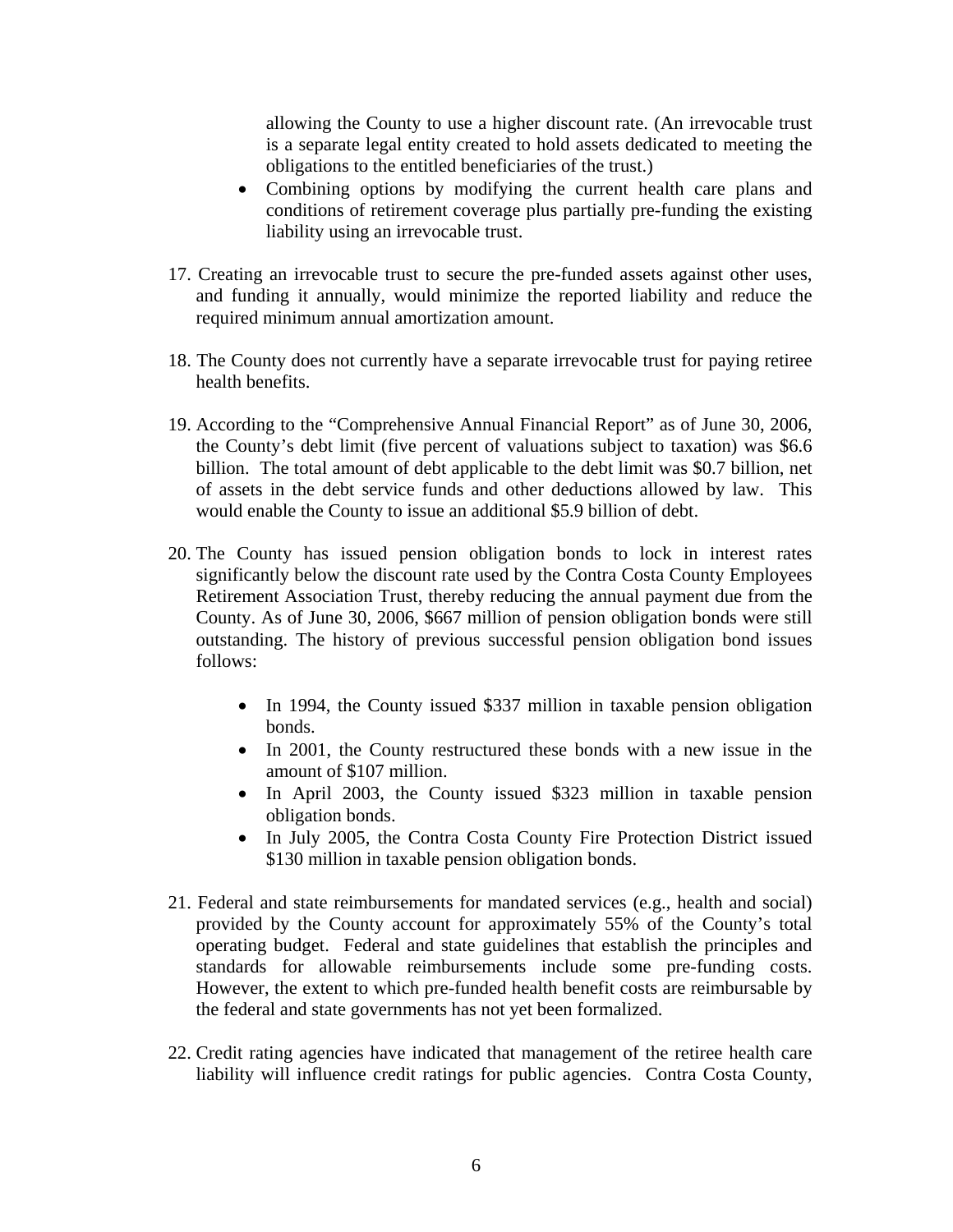allowing the County to use a higher discount rate. (An irrevocable trust is a separate legal entity created to hold assets dedicated to meeting the obligations to the entitled beneficiaries of the trust.)

- Combining options by modifying the current health care plans and conditions of retirement coverage plus partially pre-funding the existing liability using an irrevocable trust.
- 17. Creating an irrevocable trust to secure the pre-funded assets against other uses, and funding it annually, would minimize the reported liability and reduce the required minimum annual amortization amount.
- 18. The County does not currently have a separate irrevocable trust for paying retiree health benefits.
- 19. According to the "Comprehensive Annual Financial Report" as of June 30, 2006, the County's debt limit (five percent of valuations subject to taxation) was \$6.6 billion. The total amount of debt applicable to the debt limit was \$0.7 billion, net of assets in the debt service funds and other deductions allowed by law. This would enable the County to issue an additional \$5.9 billion of debt.
- 20. The County has issued pension obligation bonds to lock in interest rates significantly below the discount rate used by the Contra Costa County Employees Retirement Association Trust, thereby reducing the annual payment due from the County. As of June 30, 2006, \$667 million of pension obligation bonds were still outstanding. The history of previous successful pension obligation bond issues follows:
	- In 1994, the County issued \$337 million in taxable pension obligation bonds.
	- In 2001, the County restructured these bonds with a new issue in the amount of \$107 million.
	- In April 2003, the County issued \$323 million in taxable pension obligation bonds.
	- In July 2005, the Contra Costa County Fire Protection District issued \$130 million in taxable pension obligation bonds.
- 21. Federal and state reimbursements for mandated services (e.g., health and social) provided by the County account for approximately 55% of the County's total operating budget. Federal and state guidelines that establish the principles and standards for allowable reimbursements include some pre-funding costs. However, the extent to which pre-funded health benefit costs are reimbursable by the federal and state governments has not yet been formalized.
- 22. Credit rating agencies have indicated that management of the retiree health care liability will influence credit ratings for public agencies. Contra Costa County,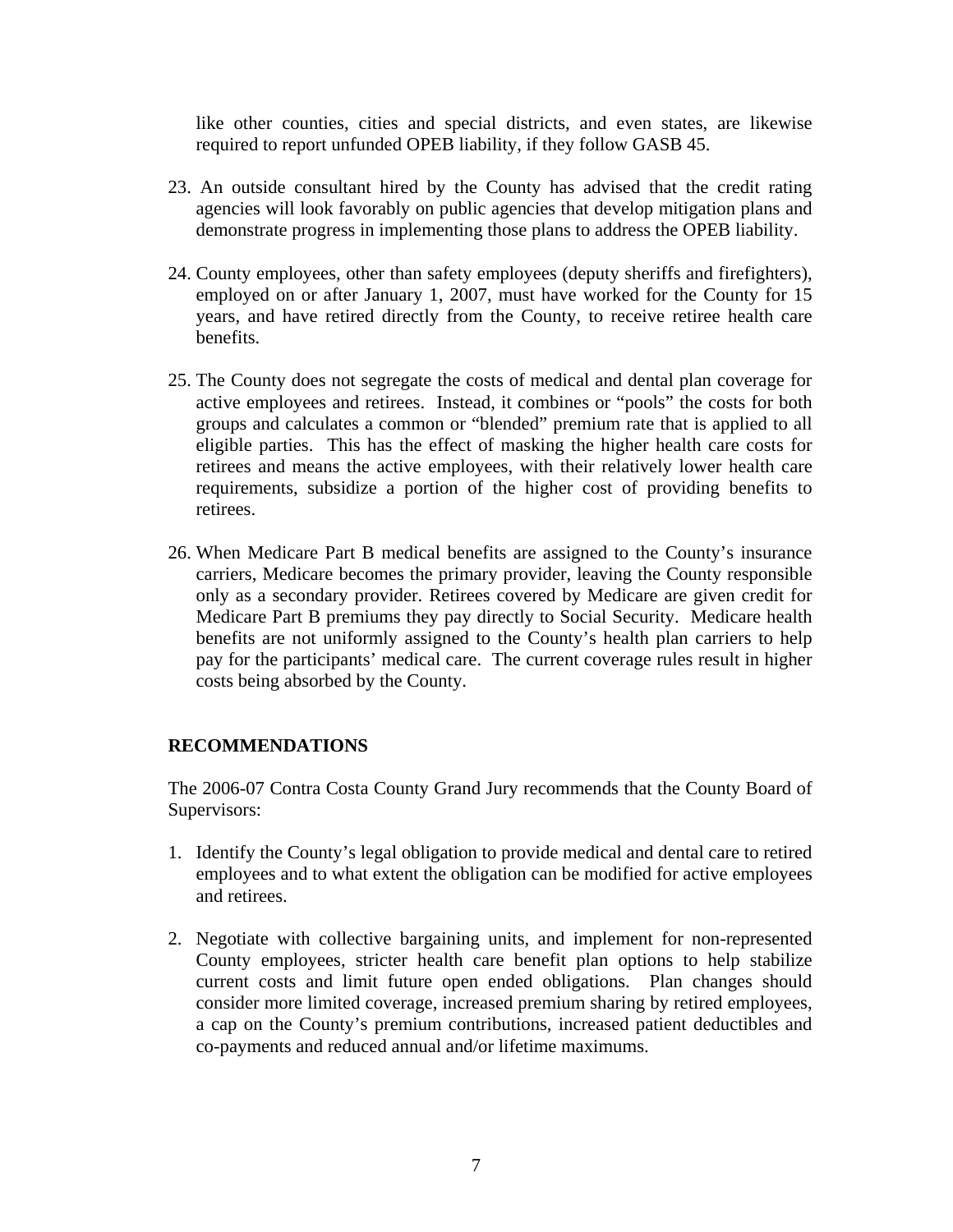like other counties, cities and special districts, and even states, are likewise required to report unfunded OPEB liability, if they follow GASB 45.

- 23. An outside consultant hired by the County has advised that the credit rating agencies will look favorably on public agencies that develop mitigation plans and demonstrate progress in implementing those plans to address the OPEB liability.
- 24. County employees, other than safety employees (deputy sheriffs and firefighters), employed on or after January 1, 2007, must have worked for the County for 15 years, and have retired directly from the County, to receive retiree health care benefits.
- 25. The County does not segregate the costs of medical and dental plan coverage for active employees and retirees. Instead, it combines or "pools" the costs for both groups and calculates a common or "blended" premium rate that is applied to all eligible parties. This has the effect of masking the higher health care costs for retirees and means the active employees, with their relatively lower health care requirements, subsidize a portion of the higher cost of providing benefits to retirees.
- 26. When Medicare Part B medical benefits are assigned to the County's insurance carriers, Medicare becomes the primary provider, leaving the County responsible only as a secondary provider. Retirees covered by Medicare are given credit for Medicare Part B premiums they pay directly to Social Security. Medicare health benefits are not uniformly assigned to the County's health plan carriers to help pay for the participants' medical care. The current coverage rules result in higher costs being absorbed by the County.

## **RECOMMENDATIONS**

The 2006-07 Contra Costa County Grand Jury recommends that the County Board of Supervisors:

- 1. Identify the County's legal obligation to provide medical and dental care to retired employees and to what extent the obligation can be modified for active employees and retirees.
- 2. Negotiate with collective bargaining units, and implement for non-represented County employees, stricter health care benefit plan options to help stabilize current costs and limit future open ended obligations. Plan changes should consider more limited coverage, increased premium sharing by retired employees, a cap on the County's premium contributions, increased patient deductibles and co-payments and reduced annual and/or lifetime maximums.